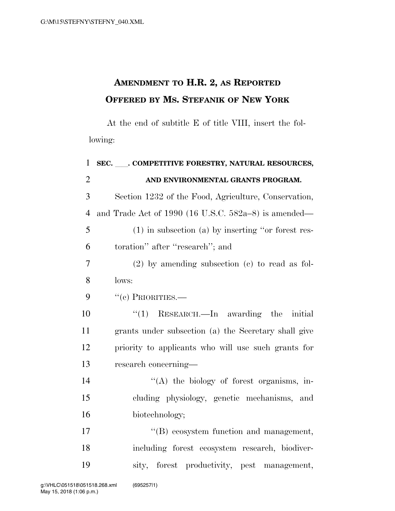## **AMENDMENT TO H.R. 2, AS REPORTED OFFERED BY MS. STEFANIK OF NEW YORK**

At the end of subtitle E of title VIII, insert the following:

| $\mathbf{1}$   | SEC. COMPETITIVE FORESTRY, NATURAL RESOURCES,           |
|----------------|---------------------------------------------------------|
| $\overline{2}$ | AND ENVIRONMENTAL GRANTS PROGRAM.                       |
| 3              | Section 1232 of the Food, Agriculture, Conservation,    |
| $\overline{4}$ | and Trade Act of 1990 (16 U.S.C. $582a-8$ ) is amended— |
| 5              | $(1)$ in subsection $(a)$ by inserting "or forest res-  |
| 6              | toration" after "research"; and                         |
| 7              | $(2)$ by amending subsection $(e)$ to read as fol-      |
| 8              | lows:                                                   |
| 9              | $``$ (c) PRIORITIES.—                                   |
| 10             | $\cdot$ (1) RESEARCH.—In awarding the initial           |
| 11             | grants under subsection (a) the Secretary shall give    |
| 12             | priority to applicants who will use such grants for     |
| 13             | research concerning—                                    |
| 14             | "(A) the biology of forest organisms, in-               |
| 15             | cluding physiology, genetic mechanisms, and             |
| 16             | biotechnology;                                          |
| 17             | "(B) ecosystem function and management,                 |
| 18             | including forest ecosystem research, biodiver-          |
| 19             | sity, forest productivity, pest management,             |
|                |                                                         |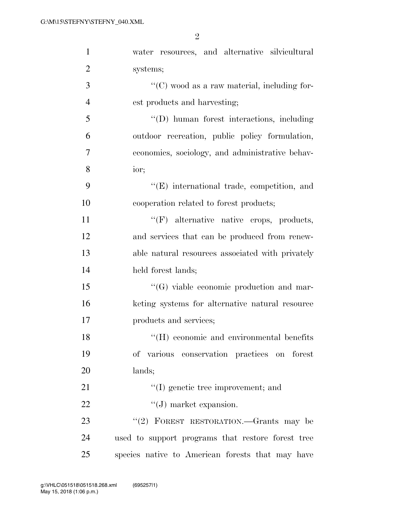2

| $\mathbf{1}$   | water resources, and alternative silvicultural                   |
|----------------|------------------------------------------------------------------|
| $\overline{2}$ | systems;                                                         |
| 3              | $\lq\lq$ <sup>c</sup> (C) wood as a raw material, including for- |
| $\overline{4}$ | est products and harvesting;                                     |
| $\mathfrak{S}$ | "(D) human forest interactions, including                        |
| 6              | outdoor recreation, public policy formulation,                   |
| 7              | economics, sociology, and administrative behav-                  |
| $8\,$          | ior;                                                             |
| 9              | $\lq\lq(E)$ international trade, competition, and                |
| 10             | cooperation related to forest products;                          |
| 11             | $\lq\lq(F)$ alternative native crops, products,                  |
| 12             | and services that can be produced from renew-                    |
| 13             | able natural resources associated with privately                 |
| 14             | held forest lands;                                               |
| 15             | $\lq\lq (G)$ viable economic production and mar-                 |
| 16             | keting systems for alternative natural resource                  |
| 17             | products and services;                                           |
| 18             | $\lq\lq (H)$ economic and environmental benefits                 |
| 19             | of various conservation practices on forest                      |
| 20             | lands;                                                           |
| 21             | $\lq\lq$ genetic tree improvement; and                           |
| 22             | $\lq\lq (J)$ market expansion.                                   |
| 23             | "(2) FOREST RESTORATION.—Grants may be                           |
| 24             | used to support programs that restore forest tree                |
| 25             | species native to American forests that may have                 |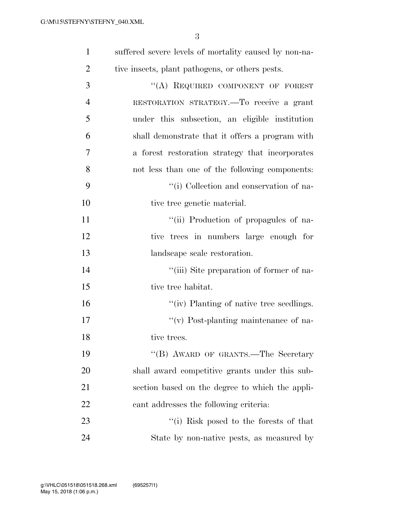3

| $\mathbf{1}$   | suffered severe levels of mortality caused by non-na- |
|----------------|-------------------------------------------------------|
| $\overline{2}$ | tive insects, plant pathogens, or others pests.       |
| 3              | "(A) REQUIRED COMPONENT OF FOREST                     |
| $\overline{4}$ | RESTORATION STRATEGY.-To receive a grant              |
| 5              | under this subsection, an eligible institution        |
| 6              | shall demonstrate that it offers a program with       |
| 7              | a forest restoration strategy that incorporates       |
| 8              | not less than one of the following components:        |
| 9              | "(i) Collection and conservation of na-               |
| 10             | tive tree genetic material.                           |
| 11             | "(ii) Production of propagules of na-                 |
| 12             | tive trees in numbers large enough for                |
| 13             | landscape scale restoration.                          |
| 14             | "(iii) Site preparation of former of na-              |
| 15             | tive tree habitat.                                    |
| 16             | "(iv) Planting of native tree seedlings.              |
| 17             | $\lq\lq$ (v) Post-planting maintenance of na-         |
| 18             | tive trees.                                           |
| 19             | "(B) AWARD OF GRANTS.—The Secretary                   |
| 20             | shall award competitive grants under this sub-        |
| 21             | section based on the degree to which the appli-       |
| 22             | cant addresses the following criteria:                |
| 23             | "(i) Risk posed to the forests of that                |
| 24             | State by non-native pests, as measured by             |